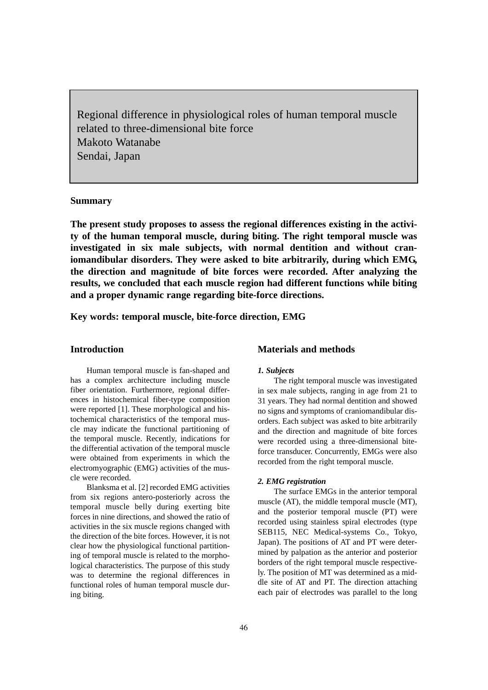Regional difference in physiological roles of human temporal muscle related to three-dimensional bite force Makoto Watanabe Sendai, Japan

# **Summary**

**The present study proposes to assess the regional differences existing in the activity of the human temporal muscle, during biting. The right temporal muscle was investigated in six male subjects, with normal dentition and without craniomandibular disorders. They were asked to bite arbitrarily, during which EMG, the direction and magnitude of bite forces were recorded. After analyzing the results, we concluded that each muscle region had different functions while biting and a proper dynamic range regarding bite-force directions.**

**Key words: temporal muscle, bite-force direction, EMG**

## **Introduction**

Human temporal muscle is fan-shaped and has a complex architecture including muscle fiber orientation. Furthermore, regional differences in histochemical fiber-type composition were reported [1]. These morphological and histochemical characteristics of the temporal muscle may indicate the functional partitioning of the temporal muscle. Recently, indications for the differential activation of the temporal muscle were obtained from experiments in which the electromyographic (EMG) activities of the muscle were recorded.

Blanksma et al. [2] recorded EMG activities from six regions antero-posteriorly across the temporal muscle belly during exerting bite forces in nine directions, and showed the ratio of activities in the six muscle regions changed with the direction of the bite forces. However, it is not clear how the physiological functional partitioning of temporal muscle is related to the morphological characteristics. The purpose of this study was to determine the regional differences in functional roles of human temporal muscle during biting.

### **Materials and methods**

### *1. Subjects*

The right temporal muscle was investigated in sex male subjects, ranging in age from 21 to 31 years. They had normal dentition and showed no signs and symptoms of craniomandibular disorders. Each subject was asked to bite arbitrarily and the direction and magnitude of bite forces were recorded using a three-dimensional biteforce transducer. Concurrently, EMGs were also recorded from the right temporal muscle.

### *2. EMG registration*

The surface EMGs in the anterior temporal muscle (AT), the middle temporal muscle (MT), and the posterior temporal muscle (PT) were recorded using stainless spiral electrodes (type SEB115, NEC Medical-systems Co., Tokyo, Japan). The positions of AT and PT were determined by palpation as the anterior and posterior borders of the right temporal muscle respectively. The position of MT was determined as a middle site of AT and PT. The direction attaching each pair of electrodes was parallel to the long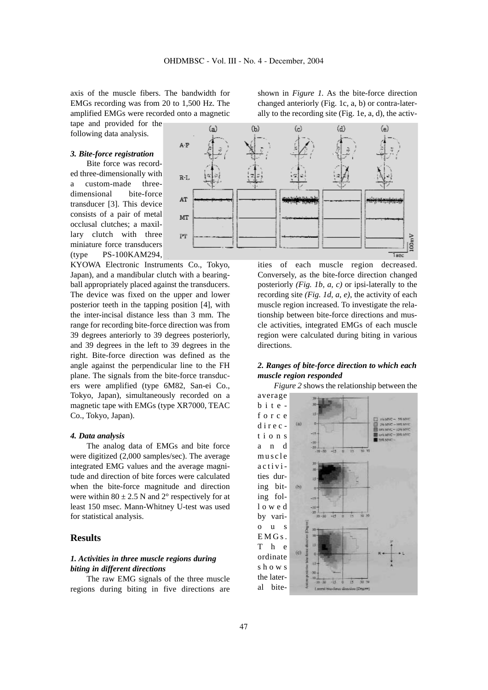axis of the muscle fibers. The bandwidth for EMGs recording was from 20 to 1,500 Hz. The amplified EMGs were recorded onto a magnetic

tape and provided for the following data analysis.

#### *3. Bite-force registration*

Bite force was recorded three-dimensionally with a custom-made threedimensional bite-force transducer [3]. This device consists of a pair of metal occlusal clutches; a maxillary clutch with three miniature force transducers (type PS-100KAM294,

KYOWA Electronic Instruments Co., Tokyo, Japan), and a mandibular clutch with a bearingball appropriately placed against the transducers. The device was fixed on the upper and lower posterior teeth in the tapping position [4], with the inter-incisal distance less than 3 mm. The range for recording bite-force direction was from 39 degrees anteriorly to 39 degrees posteriorly, and 39 degrees in the left to 39 degrees in the right. Bite-force direction was defined as the angle against the perpendicular line to the FH plane. The signals from the bite-force transducers were amplified (type 6M82, San-ei Co., Tokyo, Japan), simultaneously recorded on a magnetic tape with EMGs (type XR7000, TEAC Co., Tokyo, Japan).

#### *4. Data analysis*

The analog data of EMGs and bite force were digitized (2,000 samples/sec). The average integrated EMG values and the average magnitude and direction of bite forces were calculated when the bite-force magnitude and direction were within  $80 \pm 2.5$  N and  $2^{\circ}$  respectively for at least 150 msec. Mann-Whitney U-test was used for statistical analysis.

## **Results**

# *1. Activities in three muscle regions during biting in different directions*

The raw EMG signals of the three muscle regions during biting in five directions are shown in *Figure 1.* As the bite-force direction changed anteriorly (Fig. 1c, a, b) or contra-laterally to the recording site (Fig. 1e, a, d), the activ-



ities of each muscle region decreased. Conversely, as the bite-force direction changed posteriorly *(Fig. 1b, a, c)* or ipsi-laterally to the recording site *(Fig. 1d, a, e)*, the activity of each muscle region increased. To investigate the relationship between bite-force directions and muscle activities, integrated EMGs of each muscle region were calculated during biting in various directions.

# *2. Ranges of bite-force direction to which each muscle region responded*

*Figure 2* shows the relationship between the

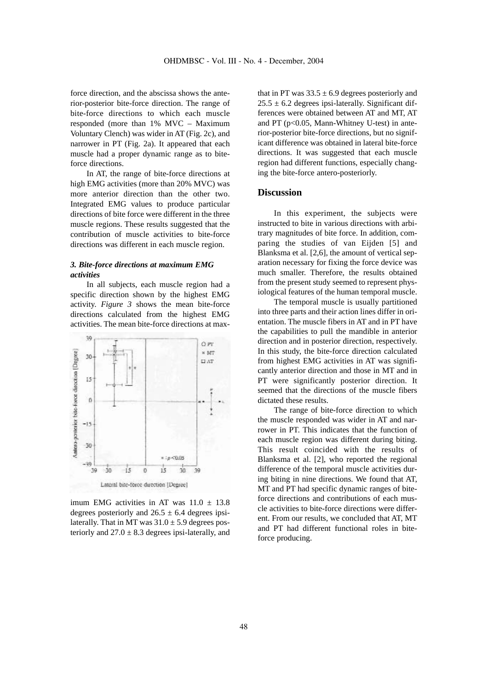force direction, and the abscissa shows the anterior-posterior bite-force direction. The range of bite-force directions to which each muscle responded (more than 1% MVC – Maximum Voluntary Clench) was wider in AT (Fig. 2c), and narrower in PT (Fig. 2a). It appeared that each muscle had a proper dynamic range as to biteforce directions.

In AT, the range of bite-force directions at high EMG activities (more than 20% MVC) was more anterior direction than the other two. Integrated EMG values to produce particular directions of bite force were different in the three muscle regions. These results suggested that the contribution of muscle activities to bite-force directions was different in each muscle region.

# *3. Bite-force directions at maximum EMG activities*

In all subjects, each muscle region had a specific direction shown by the highest EMG activity. *Figure 3* shows the mean bite-force directions calculated from the highest EMG activities. The mean bite-force directions at max-



imum EMG activities in AT was  $11.0 \pm 13.8$ degrees posteriorly and  $26.5 \pm 6.4$  degrees ipsilaterally. That in MT was  $31.0 \pm 5.9$  degrees posteriorly and  $27.0 \pm 8.3$  degrees ipsi-laterally, and

that in PT was  $33.5 \pm 6.9$  degrees posteriorly and  $25.5 \pm 6.2$  degrees ipsi-laterally. Significant differences were obtained between AT and MT, AT and PT ( $p<0.05$ , Mann-Whitney U-test) in anterior-posterior bite-force directions, but no significant difference was obtained in lateral bite-force directions. It was suggested that each muscle region had different functions, especially changing the bite-force antero-posteriorly.

# **Discussion**

In this experiment, the subjects were instructed to bite in various directions with arbitrary magnitudes of bite force. In addition, comparing the studies of van Eijden [5] and Blanksma et al. [2,6], the amount of vertical separation necessary for fixing the force device was much smaller. Therefore, the results obtained from the present study seemed to represent physiological features of the human temporal muscle.

The temporal muscle is usually partitioned into three parts and their action lines differ in orientation. The muscle fibers in AT and in PT have the capabilities to pull the mandible in anterior direction and in posterior direction, respectively. In this study, the bite-force direction calculated from highest EMG activities in AT was significantly anterior direction and those in MT and in PT were significantly posterior direction. It seemed that the directions of the muscle fibers dictated these results.

The range of bite-force direction to which the muscle responded was wider in AT and narrower in PT. This indicates that the function of each muscle region was different during biting. This result coincided with the results of Blanksma et al. [2], who reported the regional difference of the temporal muscle activities during biting in nine directions. We found that AT, MT and PT had specific dynamic ranges of biteforce directions and contributions of each muscle activities to bite-force directions were different. From our results, we concluded that AT, MT and PT had different functional roles in biteforce producing.